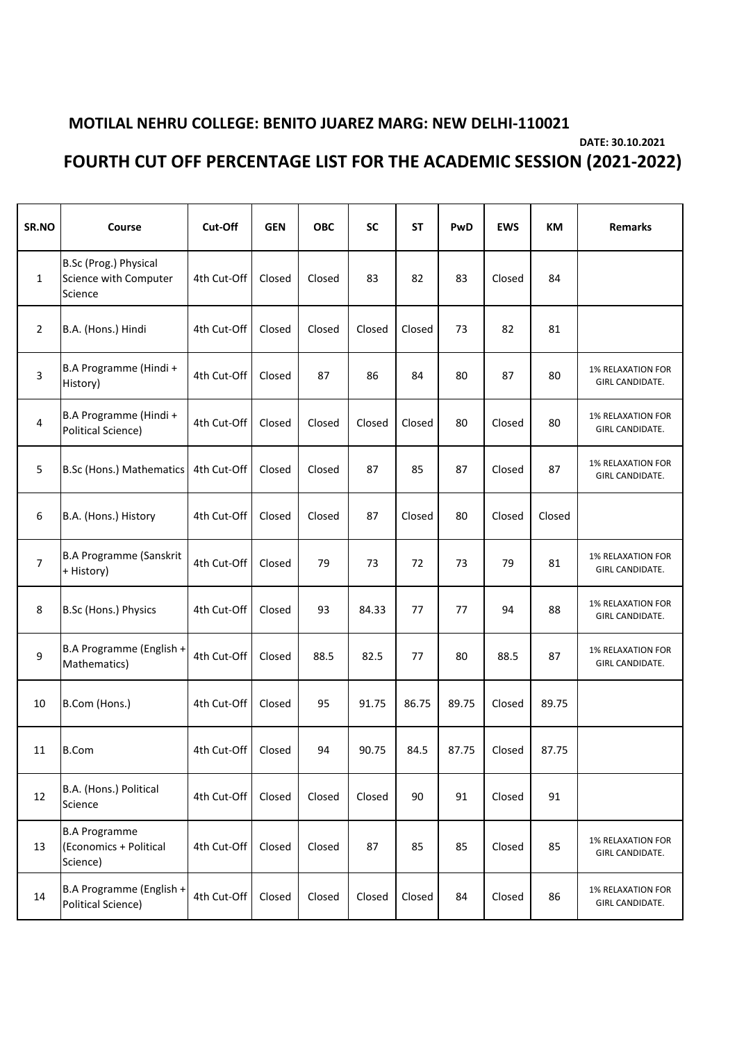## **MOTILAL NEHRU COLLEGE: BENITO JUAREZ MARG: NEW DELHI-110021**

**DATE: 30.10.2021**

## **FOURTH CUT OFF PERCENTAGE LIST FOR THE ACADEMIC SESSION (2021-2022)**

| SR.NO                   | Course                                                     | Cut-Off     | <b>GEN</b> | ОВС    | <b>SC</b> | <b>ST</b> | PwD   | <b>EWS</b> | KM     | <b>Remarks</b>                              |
|-------------------------|------------------------------------------------------------|-------------|------------|--------|-----------|-----------|-------|------------|--------|---------------------------------------------|
| $\mathbf{1}$            | B.Sc (Prog.) Physical<br>Science with Computer<br>Science  | 4th Cut-Off | Closed     | Closed | 83        | 82        | 83    | Closed     | 84     |                                             |
| $\overline{2}$          | B.A. (Hons.) Hindi                                         | 4th Cut-Off | Closed     | Closed | Closed    | Closed    | 73    | 82         | 81     |                                             |
| 3                       | B.A Programme (Hindi +<br>History)                         | 4th Cut-Off | Closed     | 87     | 86        | 84        | 80    | 87         | 80     | <b>1% RELAXATION FOR</b><br>GIRL CANDIDATE. |
| $\overline{\mathbf{4}}$ | B.A Programme (Hindi +<br>Political Science)               | 4th Cut-Off | Closed     | Closed | Closed    | Closed    | 80    | Closed     | 80     | <b>1% RELAXATION FOR</b><br>GIRL CANDIDATE. |
| 5                       | B.Sc (Hons.) Mathematics                                   | 4th Cut-Off | Closed     | Closed | 87        | 85        | 87    | Closed     | 87     | <b>1% RELAXATION FOR</b><br>GIRL CANDIDATE. |
| 6                       | B.A. (Hons.) History                                       | 4th Cut-Off | Closed     | Closed | 87        | Closed    | 80    | Closed     | Closed |                                             |
| $\overline{7}$          | <b>B.A Programme (Sanskrit</b><br>+ History)               | 4th Cut-Off | Closed     | 79     | 73        | 72        | 73    | 79         | 81     | <b>1% RELAXATION FOR</b><br>GIRL CANDIDATE. |
| 8                       | B.Sc (Hons.) Physics                                       | 4th Cut-Off | Closed     | 93     | 84.33     | 77        | 77    | 94         | 88     | <b>1% RELAXATION FOR</b><br>GIRL CANDIDATE. |
| 9                       | B.A Programme (English +<br>Mathematics)                   | 4th Cut-Off | Closed     | 88.5   | 82.5      | 77        | 80    | 88.5       | 87     | <b>1% RELAXATION FOR</b><br>GIRL CANDIDATE. |
| 10                      | B.Com (Hons.)                                              | 4th Cut-Off | Closed     | 95     | 91.75     | 86.75     | 89.75 | Closed     | 89.75  |                                             |
| 11                      | <b>B.Com</b>                                               | 4th Cut-Off | Closed     | 94     | 90.75     | 84.5      | 87.75 | Closed     | 87.75  |                                             |
| 12                      | B.A. (Hons.) Political<br>Science                          | 4th Cut-Off | Closed     | Closed | Closed    | 90        | 91    | Closed     | 91     |                                             |
| 13                      | <b>B.A Programme</b><br>(Economics + Political<br>Science) | 4th Cut-Off | Closed     | Closed | 87        | 85        | 85    | Closed     | 85     | 1% RELAXATION FOR<br>GIRL CANDIDATE.        |
| 14                      | B.A Programme (English +<br>Political Science)             | 4th Cut-Off | Closed     | Closed | Closed    | Closed    | 84    | Closed     | 86     | <b>1% RELAXATION FOR</b><br>GIRL CANDIDATE. |